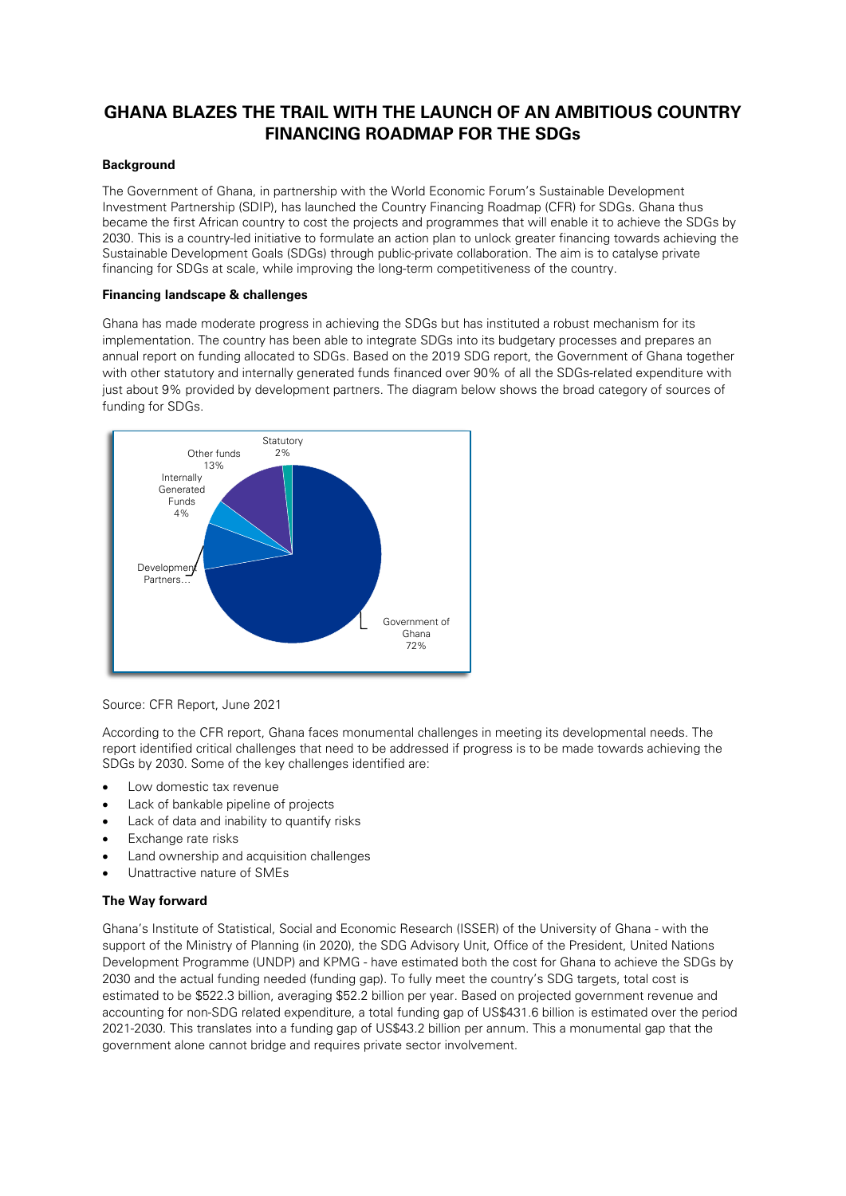# **GHANA BLAZES THE TRAIL WITH THE LAUNCH OF AN AMBITIOUS COUNTRY FINANCING ROADMAP FOR THE SDGs**

## **Background**

The Government of Ghana, in partnership with the World Economic Forum's Sustainable Development Investment Partnership (SDIP), has launched the Country Financing Roadmap (CFR) for SDGs. Ghana thus became the first African country to cost the projects and programmes that will enable it to achieve the SDGs by 2030. This is a country-led initiative to formulate an action plan to unlock greater financing towards achieving the Sustainable Development Goals (SDGs) through public-private collaboration. The aim is to catalyse private financing for SDGs at scale, while improving the long-term competitiveness of the country.

### **Financing landscape & challenges**

Ghana has made moderate progress in achieving the SDGs but has instituted a robust mechanism for its implementation. The country has been able to integrate SDGs into its budgetary processes and prepares an annual report on funding allocated to SDGs. Based on the 2019 SDG report, the Government of Ghana together with other statutory and internally generated funds financed over 90% of all the SDGs-related expenditure with just about 9% provided by development partners. The diagram below shows the broad category of sources of funding for SDGs.



Source: CFR Report, June 2021

According to the CFR report, Ghana faces monumental challenges in meeting its developmental needs. The report identified critical challenges that need to be addressed if progress is to be made towards achieving the SDGs by 2030. Some of the key challenges identified are:

- Low domestic tax revenue
- Lack of bankable pipeline of projects
- Lack of data and inability to quantify risks
- Exchange rate risks
- Land ownership and acquisition challenges
- Unattractive nature of SMEs

## **The Way forward**

Ghana's Institute of Statistical, Social and Economic Research (ISSER) of the University of Ghana - with the support of the Ministry of Planning (in 2020), the SDG Advisory Unit, Office of the President, United Nations Development Programme (UNDP) and KPMG - have estimated both the cost for Ghana to achieve the SDGs by 2030 and the actual funding needed (funding gap). To fully meet the country's SDG targets, total cost is estimated to be \$522.3 billion, averaging \$52.2 billion per year. Based on projected government revenue and accounting for non-SDG related expenditure, a total funding gap of US\$431.6 billion is estimated over the period 2021-2030. This translates into a funding gap of US\$43.2 billion per annum. This a monumental gap that the government alone cannot bridge and requires private sector involvement.